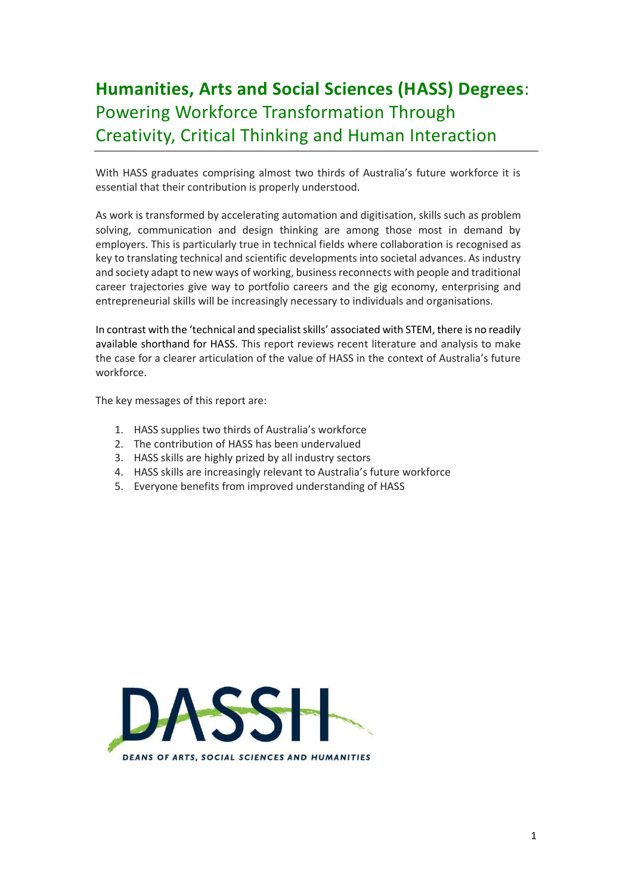## **Humanities, Arts and Social Sciences (HASS) Degrees**: Powering Workforce Transformation Through Creativity, Critical Thinking and Human Interaction

With HASS graduates comprising almost two thirds of Australia's future workforce it is essential that their contribution is properly understood.

As work is transformed by accelerating automation and digitisation, skills such as problem solving, communication and design thinking are among those most in demand by employers. This is particularly true in technical fields where collaboration is recognised as key to translating technical and scientific developments into societal advances. As industry and society adapt to new ways of working, business reconnects with people and traditional career trajectories give way to portfolio careers and the gig economy, enterprising and entrepreneurial skills will be increasingly necessary to individuals and organisations.

In contrast with the 'technical and specialist skills' associated with STEM, there is no readily available shorthand for HASS. This report reviews recent literature and analysis to make the case for a clearer articulation of the value of HASS in the context of Australia's future workforce.

The key messages of this report are:

- 1. HASS supplies two thirds of Australia's workforce
- 2. The contribution of HASS has been undervalued
- 3. HASS skills are highly prized by all industry sectors
- 4. HASS skills are increasingly relevant to Australia's future workforce
- 5. Everyone benefits from improved understanding of HASS

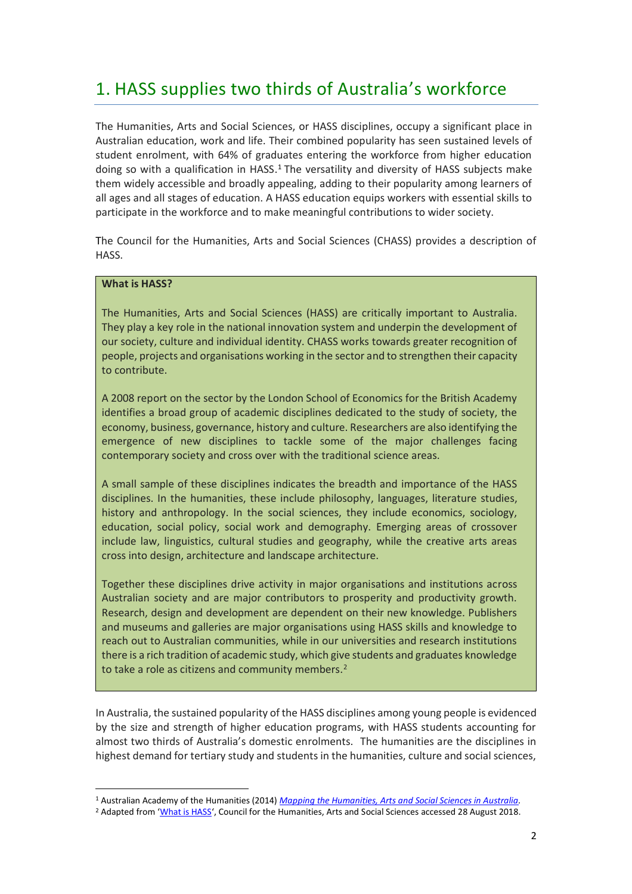### 1. HASS supplies two thirds of Australia's workforce

The Humanities, Arts and Social Sciences, or HASS disciplines, occupy a significant place in Australian education, work and life. Their combined popularity has seen sustained levels of student enrolment, with 64% of graduates entering the workforce from higher education doing so with a qualification in HASS.<sup>1</sup> The versatility and diversity of HASS subjects make them widely accessible and broadly appealing, adding to their popularity among learners of all ages and all stages of education. A HASS education equips workers with essential skills to participate in the workforce and to make meaningful contributions to wider society.

The Council for the Humanities, Arts and Social Sciences (CHASS) provides a description of HASS.

#### **What is HASS?**

 $\overline{a}$ 

The Humanities, Arts and Social Sciences (HASS) are critically important to Australia. They play a key role in the national innovation system and underpin the development of our society, culture and individual identity. CHASS works towards greater recognition of people, projects and organisations working in the sector and to strengthen their capacity to contribute.

A 2008 report on the sector by the London School of Economics for the British Academy identifies a broad group of academic disciplines dedicated to the study of society, the economy, business, governance, history and culture. Researchers are also identifying the emergence of new disciplines to tackle some of the major challenges facing contemporary society and cross over with the traditional science areas.

A small sample of these disciplines indicates the breadth and importance of the HASS disciplines. In the humanities, these include philosophy, languages, literature studies, history and anthropology. In the social sciences, they include economics, sociology, education, social policy, social work and demography. Emerging areas of crossover include law, linguistics, cultural studies and geography, while the creative arts areas cross into design, architecture and landscape architecture.

Together these disciplines drive activity in major organisations and institutions across Australian society and are major contributors to prosperity and productivity growth. Research, design and development are dependent on their new knowledge. Publishers and museums and galleries are major organisations using HASS skills and knowledge to reach out to Australian communities, while in our universities and research institutions there is a rich tradition of academic study, which give students and graduates knowledge to take a role as citizens and community members.<sup>2</sup>

In Australia, the sustained popularity of the HASS disciplines among young people is evidenced by the size and strength of higher education programs, with HASS students accounting for almost two thirds of Australia's domestic enrolments. The humanities are the disciplines in highest demand for tertiary study and students in the humanities, culture and social sciences,

<sup>1</sup> Australian Academy of the Humanities (2014) *Mapping the Humanities, Arts and Social Sciences in Australia.*

<sup>&</sup>lt;sup>2</sup> Adapted from '<u>What is HASS</u>', Council for the Humanities, Arts and Social Sciences accessed 28 August 2018.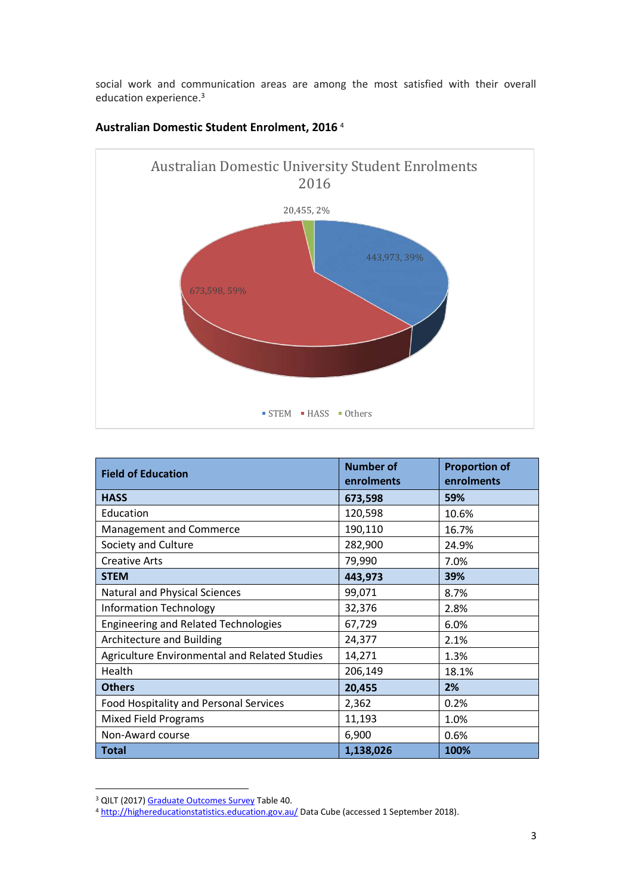social work and communication areas are among the most satisfied with their overall education experience.<sup>3</sup>



### **Australian Domestic Student Enrolment, 2016** <sup>4</sup>

| <b>Field of Education</b>                     | <b>Number of</b><br>enrolments | <b>Proportion of</b><br>enrolments |
|-----------------------------------------------|--------------------------------|------------------------------------|
| <b>HASS</b>                                   | 673,598                        | 59%                                |
| Education                                     | 120,598                        | 10.6%                              |
| Management and Commerce                       | 190,110                        | 16.7%                              |
| Society and Culture                           | 282,900                        | 24.9%                              |
| <b>Creative Arts</b>                          | 79,990                         | 7.0%                               |
| <b>STEM</b>                                   | 443,973                        | 39%                                |
| Natural and Physical Sciences                 | 99,071                         | 8.7%                               |
| <b>Information Technology</b>                 | 32,376                         | 2.8%                               |
| <b>Engineering and Related Technologies</b>   | 67,729                         | 6.0%                               |
| Architecture and Building                     | 24,377                         | 2.1%                               |
| Agriculture Environmental and Related Studies | 14,271                         | 1.3%                               |
| Health                                        | 206,149                        | 18.1%                              |
| <b>Others</b>                                 | 20,455                         | 2%                                 |
| Food Hospitality and Personal Services        | 2,362                          | 0.2%                               |
| <b>Mixed Field Programs</b>                   | 11,193                         | 1.0%                               |
| Non-Award course                              | 6,900                          | 0.6%                               |
| <b>Total</b>                                  | 1,138,026                      | 100%                               |

<sup>&</sup>lt;sup>3</sup> QILT (2017) Graduate Outcomes Survey Table 40.

<sup>4</sup> http://highereducationstatistics.education.gov.au/ Data Cube (accessed 1 September 2018).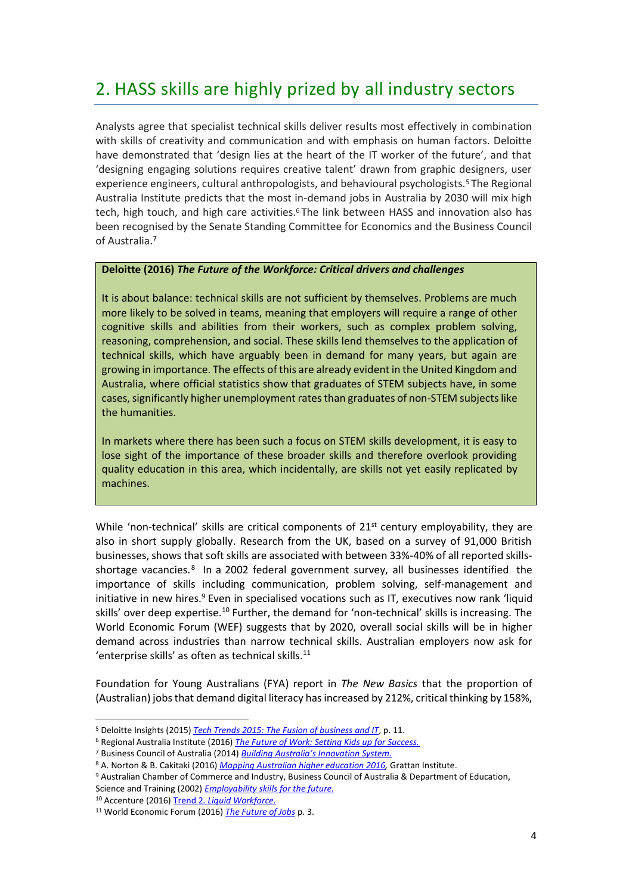### 2. HASS skills are highly prized by all industry sectors

Analysts agree that specialist technical skills deliver results most effectively in combination with skills of creativity and communication and with emphasis on human factors. Deloitte have demonstrated that 'design lies at the heart of the IT worker of the future', and that 'designing engaging solutions requires creative talent' drawn from graphic designers, user experience engineers, cultural anthropologists, and behavioural psychologists. <sup>5</sup> The Regional Australia Institute predicts that the most in-demand jobs in Australia by 2030 will mix high tech, high touch, and high care activities.<sup>6</sup> The link between HASS and innovation also has been recognised by the Senate Standing Committee for Economics and the Business Council of Australia. 7

#### **Deloitte (2016)** *The Future of the Workforce: Critical drivers and challenges*

It is about balance: technical skills are not sufficient by themselves. Problems are much more likely to be solved in teams, meaning that employers will require a range of other cognitive skills and abilities from their workers, such as complex problem solving, reasoning, comprehension, and social. These skills lend themselves to the application of technical skills, which have arguably been in demand for many years, but again are growing in importance. The effects of this are already evident in the United Kingdom and Australia, where official statistics show that graduates of STEM subjects have, in some cases, significantly higher unemployment rates than graduates of non-STEM subjects like the humanities.

In markets where there has been such a focus on STEM skills development, it is easy to lose sight of the importance of these broader skills and therefore overlook providing quality education in this area, which incidentally, are skills not yet easily replicated by machines.

While 'non-technical' skills are critical components of  $21<sup>st</sup>$  century employability, they are also in short supply globally. Research from the UK, based on a survey of 91,000 British businesses, shows that soft skills are associated with between 33%-40% of all reported skillsshortage vacancies.<sup>8</sup> In a 2002 federal government survey, all businesses identified the importance of skills including communication, problem solving, self-management and initiative in new hires.<sup>9</sup> Even in specialised vocations such as IT, executives now rank 'liquid skills' over deep expertise.<sup>10</sup> Further, the demand for 'non-technical' skills is increasing. The World Economic Forum (WEF) suggests that by 2020, overall social skills will be in higher demand across industries than narrow technical skills. Australian employers now ask for 'enterprise skills' as often as technical skills. 11

Foundation for Young Australians (FYA) report in *The New Basics* that the proportion of (Australian) jobs that demand digital literacy has increased by 212%, critical thinking by 158%,

<sup>5</sup> Deloitte Insights (2015) *Tech Trends 2015: The Fusion of business and IT*, p. 11.

<sup>6</sup> Regional Australia Institute (2016) *The Future of Work: Setting Kids up for Success.*

<sup>7</sup> Business Council of Australia (2014) *Building Australia's Innovation System.*

<sup>8</sup> A. Norton & B. Cakitaki (2016) *Mapping Australian higher education 2016,* Grattan Institute.

<sup>&</sup>lt;sup>9</sup> Australian Chamber of Commerce and Industry, Business Council of Australia & Department of Education, Science and Training (2002) *Employability skills for the future.*

<sup>10</sup> Accenture (2016) Trend 2*. Liquid Workforce.*

<sup>11</sup> World Economic Forum (2016) *The Future of Jobs* p. 3.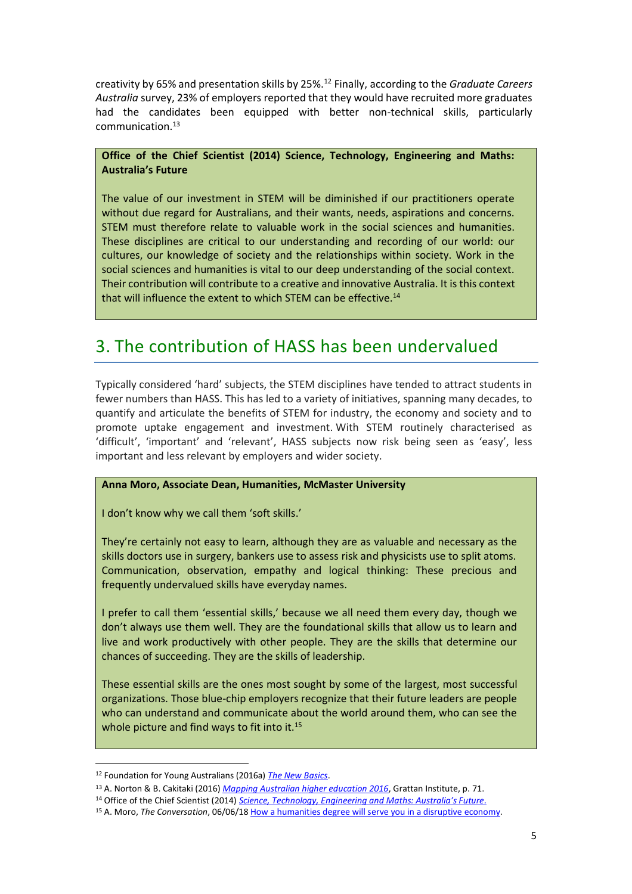creativity by 65% and presentation skills by 25%.<sup>12</sup> Finally, according to the *Graduate Careers Australia* survey, 23% of employers reported that they would have recruited more graduates had the candidates been equipped with better non-technical skills, particularly communication.<sup>13</sup>

#### **Office of the Chief Scientist (2014) Science, Technology, Engineering and Maths: Australia's Future**

The value of our investment in STEM will be diminished if our practitioners operate without due regard for Australians, and their wants, needs, aspirations and concerns. STEM must therefore relate to valuable work in the social sciences and humanities. These disciplines are critical to our understanding and recording of our world: our cultures, our knowledge of society and the relationships within society. Work in the social sciences and humanities is vital to our deep understanding of the social context. Their contribution will contribute to a creative and innovative Australia. It is this context that will influence the extent to which STEM can be effective.<sup>14</sup>

### 3. The contribution of HASS has been undervalued

Typically considered 'hard' subjects, the STEM disciplines have tended to attract students in fewer numbers than HASS. This has led to a variety of initiatives, spanning many decades, to quantify and articulate the benefits of STEM for industry, the economy and society and to promote uptake engagement and investment. With STEM routinely characterised as 'difficult', 'important' and 'relevant', HASS subjects now risk being seen as 'easy', less important and less relevant by employers and wider society.

#### **Anna Moro, Associate Dean, Humanities, McMaster University**

I don't know why we call them 'soft skills.'

They're certainly not easy to learn, although they are as valuable and necessary as the skills doctors use in surgery, bankers use to assess risk and physicists use to split atoms. Communication, observation, empathy and logical thinking: These precious and frequently undervalued skills have everyday names.

I prefer to call them 'essential skills,' because we all need them every day, though we don't always use them well. They are the foundational skills that allow us to learn and live and work productively with other people. They are the skills that determine our chances of succeeding. They are the skills of leadership.

These essential skills are the ones most sought by some of the largest, most successful organizations. Those blue-chip employers recognize that their future leaders are people who can understand and communicate about the world around them, who can see the whole picture and find ways to fit into it.<sup>15</sup>

<sup>12</sup> Foundation for Young Australians (2016a) *The New Basics*.

<sup>13</sup> A. Norton & B. Cakitaki (2016) *Mapping Australian higher education 2016*, Grattan Institute, p. 71.

<sup>14</sup> Office of the Chief Scientist (2014) *Science, Technology, Engineering and Maths: Australia's Future.*

<sup>15</sup> A. Moro, *The Conversation*, 06/06/18 How a humanities degree will serve you in a disruptive economy.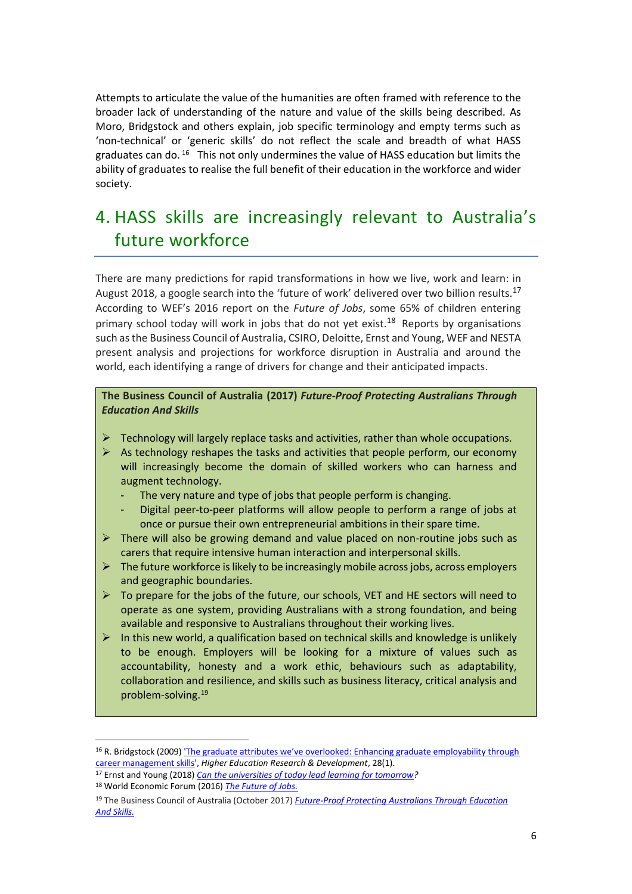Attempts to articulate the value of the humanities are often framed with reference to the broader lack of understanding of the nature and value of the skills being described. As Moro, Bridgstock and others explain, job specific terminology and empty terms such as 'non-technical' or 'generic skills' do not reflect the scale and breadth of what HASS graduates can do. <sup>16</sup> This not only undermines the value of HASS education but limits the ability of graduates to realise the full benefit of their education in the workforce and wider society.

### 4. HASS skills are increasingly relevant to Australia's future workforce

There are many predictions for rapid transformations in how we live, work and learn: in August 2018, a google search into the 'future of work' delivered over two billion results.<sup>17</sup> According to WEF's 2016 report on the *Future of Jobs*, some 65% of children entering primary school today will work in jobs that do not yet exist.<sup>18</sup> Reports by organisations such as the Business Council of Australia, CSIRO, Deloitte, Ernst and Young, WEF and NESTA present analysis and projections for workforce disruption in Australia and around the world, each identifying a range of drivers for change and their anticipated impacts.

**The Business Council of Australia (2017)** *Future-Proof Protecting Australians Through Education And Skills*

- $\triangleright$  Technology will largely replace tasks and activities, rather than whole occupations.
- $\triangleright$  As technology reshapes the tasks and activities that people perform, our economy will increasingly become the domain of skilled workers who can harness and augment technology.
	- The very nature and type of jobs that people perform is changing.
	- Digital peer-to-peer platforms will allow people to perform a range of jobs at once or pursue their own entrepreneurial ambitions in their spare time.
- ➢ There will also be growing demand and value placed on non-routine jobs such as carers that require intensive human interaction and interpersonal skills.
- ➢ The future workforce is likely to be increasingly mobile across jobs, across employers and geographic boundaries.
- $\triangleright$  To prepare for the jobs of the future, our schools, VET and HE sectors will need to operate as one system, providing Australians with a strong foundation, and being available and responsive to Australians throughout their working lives.
- ➢ In this new world, a qualification based on technical skills and knowledge is unlikely to be enough. Employers will be looking for a mixture of values such as accountability, honesty and a work ethic, behaviours such as adaptability, collaboration and resilience, and skills such as business literacy, critical analysis and problem-solving.<sup>19</sup>

<sup>&</sup>lt;sup>16</sup> R. Bridgstock (2009) 'The graduate attributes we've overlooked: Enhancing graduate employability through career management skills', *Higher Education Research & Development*, 28(1).

<sup>17</sup> Ernst and Young (2018) *Can the universities of today lead learning for tomorrow?* <sup>18</sup> World Economic Forum (2016) *The Future of Jobs.*

<sup>19</sup> The Business Council of Australia (October 2017) *Future-Proof Protecting Australians Through Education And Skills.*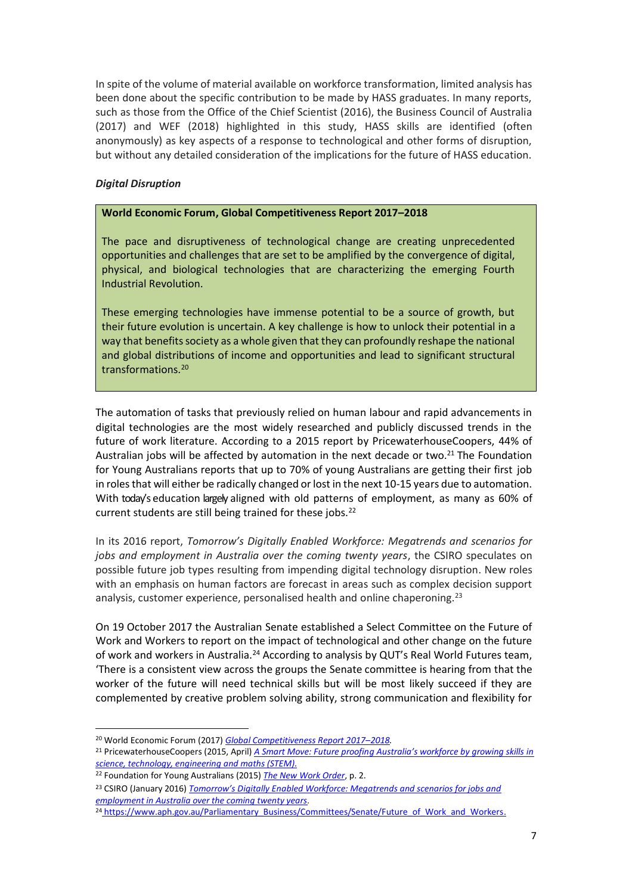In spite of the volume of material available on workforce transformation, limited analysis has been done about the specific contribution to be made by HASS graduates. In many reports, such as those from the Office of the Chief Scientist (2016), the Business Council of Australia (2017) and WEF (2018) highlighted in this study, HASS skills are identified (often anonymously) as key aspects of a response to technological and other forms of disruption, but without any detailed consideration of the implications for the future of HASS education.

#### *Digital Disruption*

#### **World Economic Forum, Global Competitiveness Report 2017–2018**

The pace and disruptiveness of technological change are creating unprecedented opportunities and challenges that are set to be amplified by the convergence of digital, physical, and biological technologies that are characterizing the emerging Fourth Industrial Revolution.

These emerging technologies have immense potential to be a source of growth, but their future evolution is uncertain. A key challenge is how to unlock their potential in a way that benefits society as a whole given that they can profoundly reshape the national and global distributions of income and opportunities and lead to significant structural transformations.<sup>20</sup>

The automation of tasks that previously relied on human labour and rapid advancements in digital technologies are the most widely researched and publicly discussed trends in the future of work literature. According to a 2015 report by PricewaterhouseCoopers, 44% of Australian jobs will be affected by automation in the next decade or two. $21$  The Foundation for Young Australians reports that up to 70% of young Australians are getting their first job in roles that will either be radically changed or lost in the next 10-15 years due to automation. With today's education largely aligned with old patterns of employment, as many as 60% of current students are still being trained for these jobs.<sup>22</sup>

In its 2016 report, *Tomorrow's Digitally Enabled Workforce: Megatrends and scenarios for jobs and employment in Australia over the coming twenty years*, the CSIRO speculates on possible future job types resulting from impending digital technology disruption. New roles with an emphasis on human factors are forecast in areas such as complex decision support analysis, customer experience, personalised health and online chaperoning.<sup>23</sup>

On 19 October 2017 the Australian Senate established a Select Committee on the Future of Work and Workers to report on the impact of technological and other change on the future of work and workers in Australia.<sup>24</sup> According to analysis by QUT's Real World Futures team, 'There is a consistent view across the groups the Senate committee is hearing from that the worker of the future will need technical skills but will be most likely succeed if they are complemented by creative problem solving ability, strong communication and flexibility for

<sup>20</sup> World Economic Forum (2017) *Global Competitiveness Report 2017–2018.*

<sup>21</sup> PricewaterhouseCoopers (2015, April) *A Smart Move: Future proofing Australia's workforce by growing skills in science, technology, engineering and maths (STEM).*

<sup>22</sup> Foundation for Young Australians (2015) *The New Work Order*, p. 2.

<sup>23</sup> CSIRO (January 2016) *Tomorrow's Digitally Enabled Workforce: Megatrends and scenarios for jobs and employment in Australia over the coming twenty years.*

<sup>&</sup>lt;sup>24</sup> https://www.aph.gov.au/Parliamentary\_Business/Committees/Senate/Future\_of\_Work\_and\_Workers.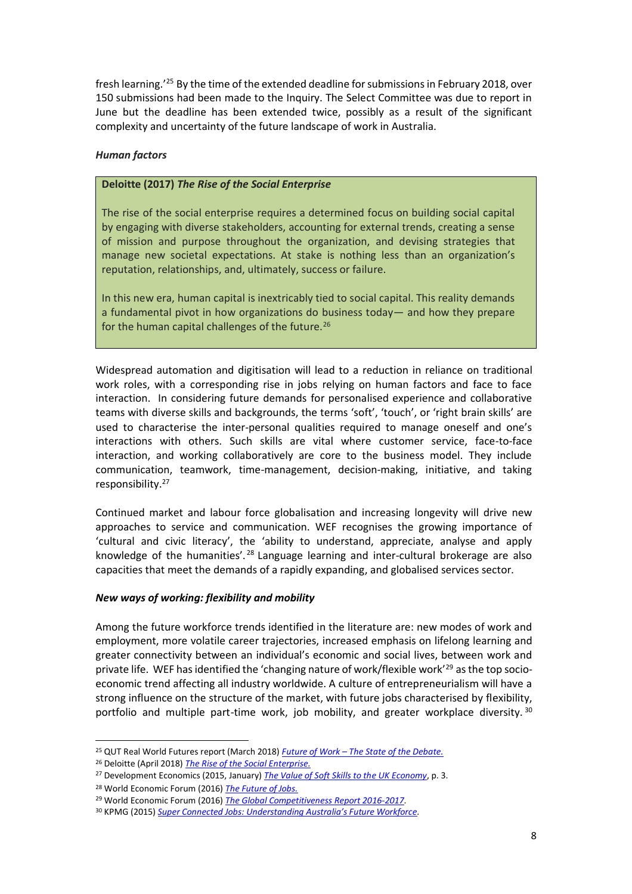fresh learning.<sup>'25</sup> By the time of the extended deadline for submissions in February 2018, over 150 submissions had been made to the Inquiry. The Select Committee was due to report in June but the deadline has been extended twice, possibly as a result of the significant complexity and uncertainty of the future landscape of work in Australia.

#### *Human factors*

#### **Deloitte (2017)** *The Rise of the Social Enterprise*

The rise of the social enterprise requires a determined focus on building social capital by engaging with diverse stakeholders, accounting for external trends, creating a sense of mission and purpose throughout the organization, and devising strategies that manage new societal expectations. At stake is nothing less than an organization's reputation, relationships, and, ultimately, success or failure.

In this new era, human capital is inextricably tied to social capital. This reality demands a fundamental pivot in how organizations do business today— and how they prepare for the human capital challenges of the future.<sup>26</sup>

Widespread automation and digitisation will lead to a reduction in reliance on traditional work roles, with a corresponding rise in jobs relying on human factors and face to face interaction. In considering future demands for personalised experience and collaborative teams with diverse skills and backgrounds, the terms 'soft', 'touch', or 'right brain skills' are used to characterise the inter-personal qualities required to manage oneself and one's interactions with others. Such skills are vital where customer service, face-to-face interaction, and working collaboratively are core to the business model. They include communication, teamwork, time-management, decision-making, initiative, and taking responsibility.<sup>27</sup>

Continued market and labour force globalisation and increasing longevity will drive new approaches to service and communication. WEF recognises the growing importance of 'cultural and civic literacy', the 'ability to understand, appreciate, analyse and apply knowledge of the humanities'.<sup>28</sup> Language learning and inter-cultural brokerage are also capacities that meet the demands of a rapidly expanding, and globalised services sector.

#### *New ways of working: flexibility and mobility*

Among the future workforce trends identified in the literature are: new modes of work and employment, more volatile career trajectories, increased emphasis on lifelong learning and greater connectivity between an individual's economic and social lives, between work and private life. WEF has identified the 'changing nature of work/flexible work'<sup>29</sup> as the top socioeconomic trend affecting all industry worldwide. A culture of entrepreneurialism will have a strong influence on the structure of the market, with future jobs characterised by flexibility, portfolio and multiple part-time work, job mobility, and greater workplace diversity. 30

<sup>25</sup> QUT Real World Futures report (March 2018) *Future of Work – The State of the Debate.*

<sup>26</sup> Deloitte (April 2018) *The Rise of the Social Enterprise.*

<sup>27</sup> Development Economics (2015, January) *The Value of Soft Skills to the UK Economy*, p. 3.

<sup>28</sup> World Economic Forum (2016) *The Future of Jobs.*

<sup>29</sup> World Economic Forum (2016) *The Global Competitiveness Report 2016-2017.*

<sup>30</sup> KPMG (2015) *Super Connected Jobs: Understanding Australia's Future Workforce.*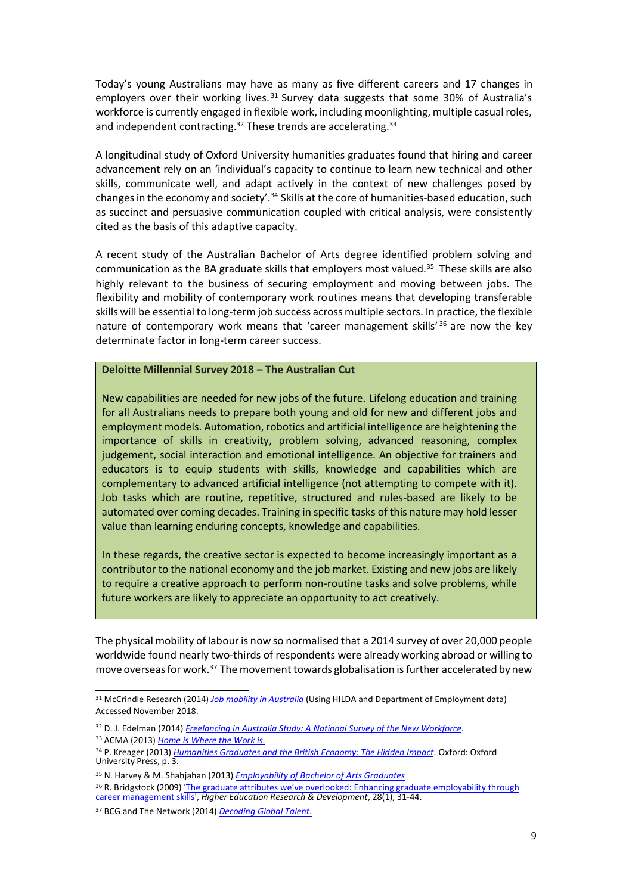Today's young Australians may have as many as five different careers and 17 changes in employers over their working lives. 31 Survey data suggests that some 30% of Australia's workforce is currently engaged in flexible work, including moonlighting, multiple casual roles, and independent contracting.<sup>32</sup> These trends are accelerating.<sup>33</sup>

A longitudinal study of Oxford University humanities graduates found that hiring and career advancement rely on an 'individual's capacity to continue to learn new technical and other skills, communicate well, and adapt actively in the context of new challenges posed by changes in the economy and society'.<sup>34</sup> Skills at the core of humanities-based education, such as succinct and persuasive communication coupled with critical analysis, were consistently cited as the basis of this adaptive capacity.

A recent study of the Australian Bachelor of Arts degree identified problem solving and communication as the BA graduate skills that employers most valued.<sup>35</sup> These skills are also highly relevant to the business of securing employment and moving between jobs. The flexibility and mobility of contemporary work routines means that developing transferable skills will be essential to long-term job success across multiple sectors. In practice, the flexible nature of contemporary work means that 'career management skills' 36 are now the key determinate factor in long-term career success.

#### **Deloitte Millennial Survey 2018 – The Australian Cut**

New capabilities are needed for new jobs of the future. Lifelong education and training for all Australians needs to prepare both young and old for new and different jobs and employment models. Automation, robotics and artificial intelligence are heightening the importance of skills in creativity, problem solving, advanced reasoning, complex judgement, social interaction and emotional intelligence. An objective for trainers and educators is to equip students with skills, knowledge and capabilities which are complementary to advanced artificial intelligence (not attempting to compete with it). Job tasks which are routine, repetitive, structured and rules-based are likely to be automated over coming decades. Training in specific tasks of this nature may hold lesser value than learning enduring concepts, knowledge and capabilities.

In these regards, the creative sector is expected to become increasingly important as a contributor to the national economy and the job market. Existing and new jobs are likely to require a creative approach to perform non-routine tasks and solve problems, while future workers are likely to appreciate an opportunity to act creatively.

The physical mobility of labour is now so normalised that a 2014 survey of over 20,000 people worldwide found nearly two-thirds of respondents were already working abroad or willing to move overseas for work.<sup>37</sup> The movement towards globalisation is further accelerated by new

<sup>31</sup> McCrindle Research (2014) *Job mobility in Australia* (Using HILDA and Department of Employment data) Accessed November 2018.

<sup>32</sup> D. J. Edelman (2014) *Freelancing in Australia Study: A National Survey of the New Workforce.* 

<sup>33</sup> ACMA (2013) *Home is Where the Work is.*

<sup>34</sup> P. Kreager (2013) *Humanities Graduates and the British Economy: The Hidden Impact.* Oxford: Oxford University Press, p. 3.

<sup>35</sup> N. Harvey & M. Shahjahan (2013) *Employability of Bachelor of Arts Graduates*

<sup>36</sup> R. Bridgstock (2009) 'The graduate attributes we've overlooked: Enhancing graduate employability through career management skills', *Higher Education Research & Development*, 28(1), 31-44.

<sup>37</sup> BCG and The Network (2014) *Decoding Global Talent.*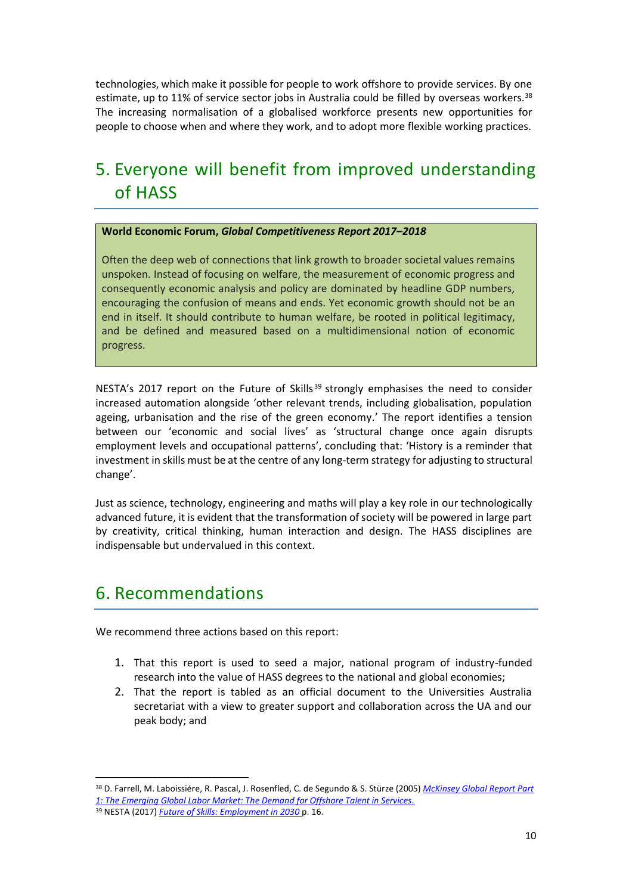technologies, which make it possible for people to work offshore to provide services. By one estimate, up to 11% of service sector jobs in Australia could be filled by overseas workers.<sup>38</sup> The increasing normalisation of a globalised workforce presents new opportunities for people to choose when and where they work, and to adopt more flexible working practices.

### 5. Everyone will benefit from improved understanding of HASS

#### **World Economic Forum,** *Global Competitiveness Report 2017–2018*

Often the deep web of connections that link growth to broader societal values remains unspoken. Instead of focusing on welfare, the measurement of economic progress and consequently economic analysis and policy are dominated by headline GDP numbers, encouraging the confusion of means and ends. Yet economic growth should not be an end in itself. It should contribute to human welfare, be rooted in political legitimacy, and be defined and measured based on a multidimensional notion of economic progress.

NESTA's 2017 report on the Future of Skills<sup>39</sup> strongly emphasises the need to consider increased automation alongside 'other relevant trends, including globalisation, population ageing, urbanisation and the rise of the green economy.' The report identifies a tension between our 'economic and social lives' as 'structural change once again disrupts employment levels and occupational patterns', concluding that: 'History is a reminder that investment in skills must be at the centre of any long-term strategy for adjusting to structural change'.

Just as science, technology, engineering and maths will play a key role in our technologically advanced future, it is evident that the transformation of society will be powered in large part by creativity, critical thinking, human interaction and design. The HASS disciplines are indispensable but undervalued in this context.

### 6. Recommendations

 $\overline{a}$ 

We recommend three actions based on this report:

- 1. That this report is used to seed a major, national program of industry-funded research into the value of HASS degrees to the national and global economies;
- 2. That the report is tabled as an official document to the Universities Australia secretariat with a view to greater support and collaboration across the UA and our peak body; and

<sup>38</sup> D. Farrell, M. Laboissiére, R. Pascal, J. Rosenfled, C. de Segundo & S. Stürze (2005) *McKinsey Global Report Part 1: The Emerging Global Labor Market: The Demand for Offshore Talent in Services.* 39 NESTA (2017) *Future of Skills: Employment in 2030* p. 16.